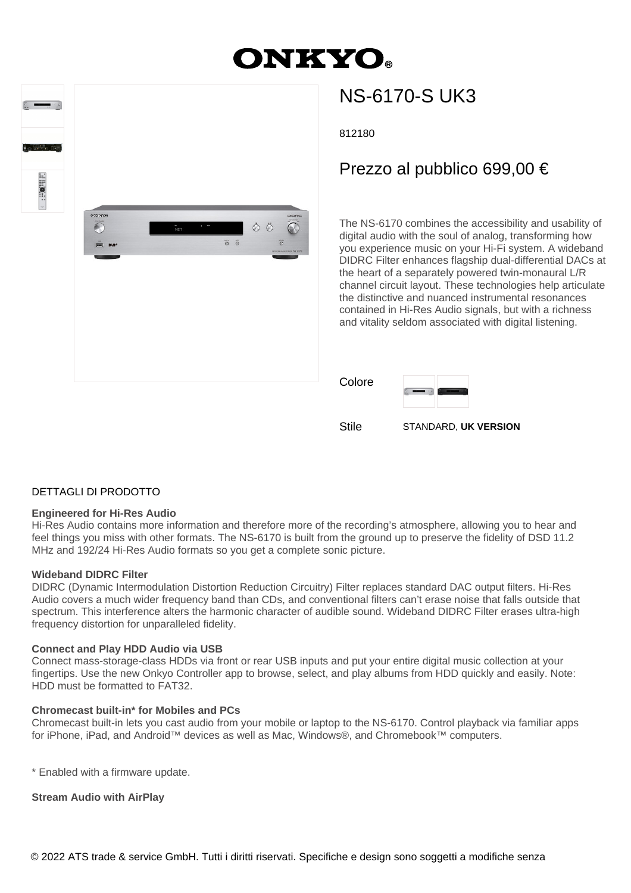# **ONKYO**

 $\ddot{\odot}$ 

 $\overline{a}$   $\overline{a}$ 



## NS-6170-S UK3

812180

### Prezzo al pubblico 699,00 €

The NS-6170 combines the accessibility and usability of digital audio with the soul of analog, transforming how you experience music on your Hi-Fi system. A wideband DIDRC Filter enhances flagship dual-differential DACs at the heart of a separately powered twin-monaural L/R channel circuit layout. These technologies help articulate the distinctive and nuanced instrumental resonances contained in Hi-Res Audio signals, but with a richness and vitality seldom associated with digital listening.

Colore



Stile STANDARD, **UK VERSION**

#### DETTAGLI DI PRODOTTO

#### **Engineered for Hi-Res Audio**

Hi-Res Audio contains more information and therefore more of the recording's atmosphere, allowing you to hear and feel things you miss with other formats. The NS-6170 is built from the ground up to preserve the fidelity of DSD 11.2 MHz and 192/24 Hi-Res Audio formats so you get a complete sonic picture.

#### **Wideband DIDRC Filter**

DIDRC (Dynamic Intermodulation Distortion Reduction Circuitry) Filter replaces standard DAC output filters. Hi-Res Audio covers a much wider frequency band than CDs, and conventional filters can't erase noise that falls outside that spectrum. This interference alters the harmonic character of audible sound. Wideband DIDRC Filter erases ultra-high frequency distortion for unparalleled fidelity.

#### **Connect and Play HDD Audio via USB**

Connect mass-storage-class HDDs via front or rear USB inputs and put your entire digital music collection at your fingertips. Use the new Onkyo Controller app to browse, select, and play albums from HDD quickly and easily. Note: HDD must be formatted to FAT32.

#### **Chromecast built-in\* for Mobiles and PCs**

Chromecast built-in lets you cast audio from your mobile or laptop to the NS-6170. Control playback via familiar apps for iPhone, iPad, and Android™ devices as well as Mac, Windows®, and Chromebook™ computers.

\* Enabled with a firmware update.

**Stream Audio with AirPlay**